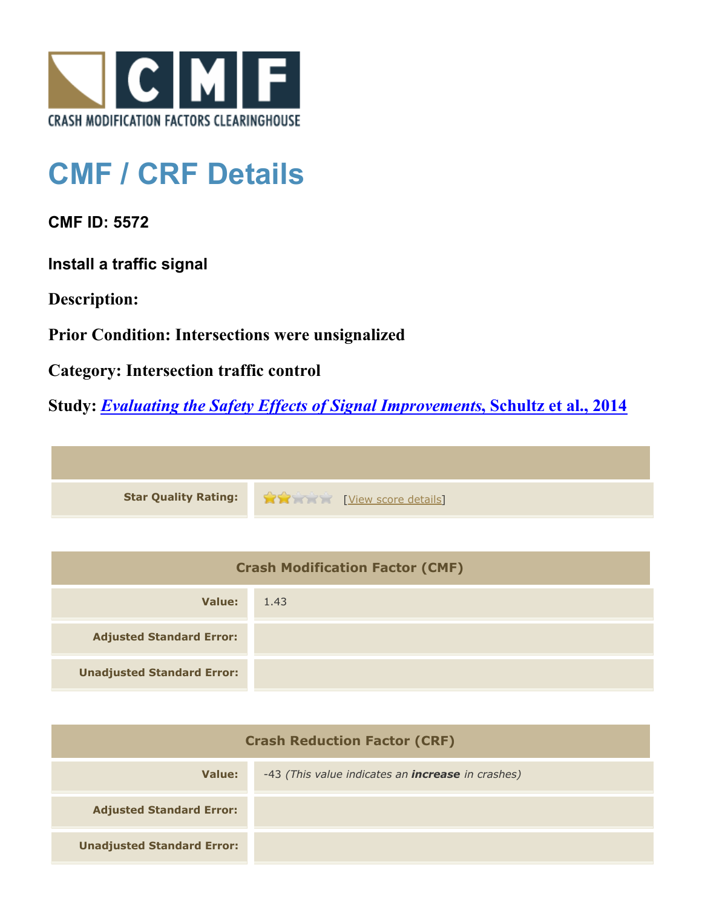

## **CMF / CRF Details**

**CMF ID: 5572**

**Install a traffic signal**

**Description:** 

**Prior Condition: Intersections were unsignalized**

**Category: Intersection traffic control**

**Study:** *[Evaluating the Safety Effects of Signal Improvements](http://www.cmfclearinghouse.org/study_detail.cfm?stid=364)***[, Schultz et al., 2014](http://www.cmfclearinghouse.org/study_detail.cfm?stid=364)**



| <b>Crash Modification Factor (CMF)</b> |      |  |
|----------------------------------------|------|--|
| Value:                                 | 1.43 |  |
| <b>Adjusted Standard Error:</b>        |      |  |
| <b>Unadjusted Standard Error:</b>      |      |  |

| <b>Crash Reduction Factor (CRF)</b> |                                                          |  |
|-------------------------------------|----------------------------------------------------------|--|
| Value:                              | -43 (This value indicates an <b>increase</b> in crashes) |  |
| <b>Adjusted Standard Error:</b>     |                                                          |  |
| <b>Unadjusted Standard Error:</b>   |                                                          |  |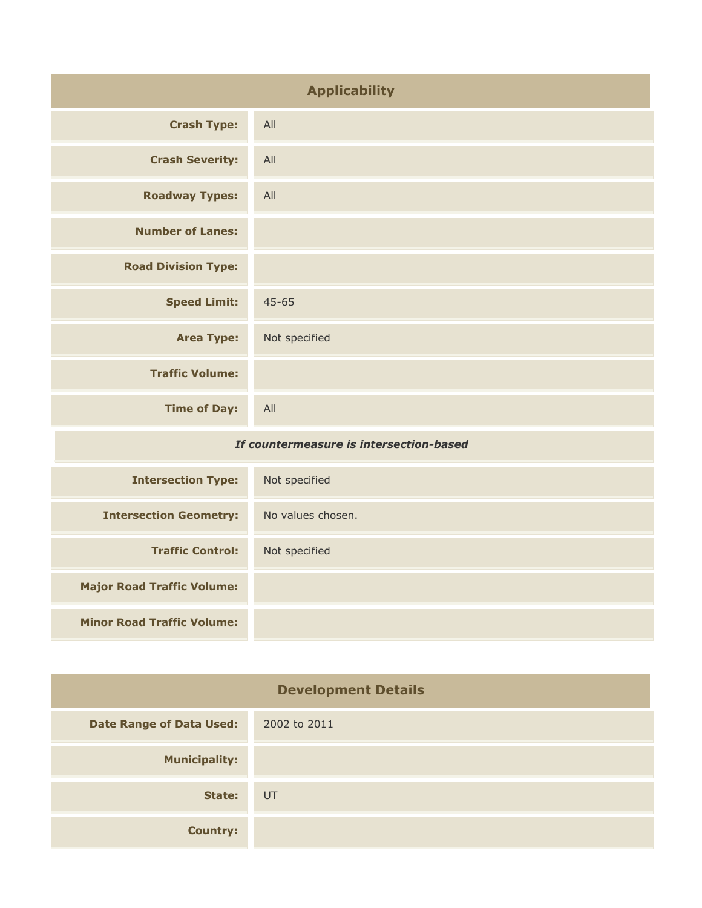| <b>Applicability</b>                    |                   |
|-----------------------------------------|-------------------|
| <b>Crash Type:</b>                      | All               |
| <b>Crash Severity:</b>                  | All               |
| <b>Roadway Types:</b>                   | All               |
| <b>Number of Lanes:</b>                 |                   |
| <b>Road Division Type:</b>              |                   |
| <b>Speed Limit:</b>                     | $45 - 65$         |
| <b>Area Type:</b>                       | Not specified     |
| <b>Traffic Volume:</b>                  |                   |
| <b>Time of Day:</b>                     | All               |
| If countermeasure is intersection-based |                   |
| <b>Intersection Type:</b>               | Not specified     |
| <b>Intersection Geometry:</b>           | No values chosen. |
| <b>Traffic Control:</b>                 | Not specified     |
| <b>Major Road Traffic Volume:</b>       |                   |

**Minor Road Traffic Volume:**

| <b>Development Details</b>      |              |
|---------------------------------|--------------|
| <b>Date Range of Data Used:</b> | 2002 to 2011 |
| <b>Municipality:</b>            |              |
| State:                          | UT           |
| <b>Country:</b>                 |              |